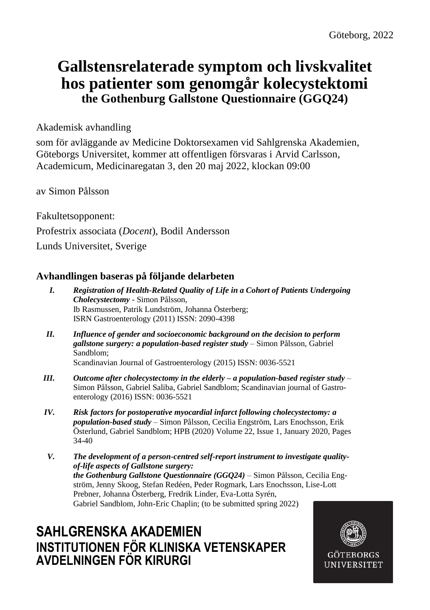## **Gallstensrelaterade symptom och livskvalitet hos patienter som genomgår kolecystektomi the Gothenburg Gallstone Questionnaire (GGQ24)**

Akademisk avhandling

som för avläggande av Medicine Doktorsexamen vid Sahlgrenska Akademien, Göteborgs Universitet, kommer att offentligen försvaras i Arvid Carlsson, Academicum, Medicinaregatan 3, den 20 maj 2022, klockan 09:00

av Simon Pålsson

Fakultetsopponent: Profestrix associata (*Docent*), Bodil Andersson Lunds Universitet, Sverige

### **Avhandlingen baseras på följande delarbeten**

- *I. Registration of Health-Related Quality of Life in a Cohort of Patients Undergoing Cholecystectomy -* Simon Pålsson, Ib Rasmussen, Patrik Lundström, Johanna Österberg; ISRN Gastroenterology (2011) ISSN: 2090-4398
- *II. Influence of gender and socioeconomic background on the decision to perform gallstone surgery: a population-based register study* – Simon Pålsson, Gabriel Sandblom;

Scandinavian Journal of Gastroenterology (2015) ISSN: 0036-5521

- *III. Outcome after cholecystectomy in the elderly – a population-based register study* Simon Pålsson, Gabriel Saliba, Gabriel Sandblom; Scandinavian journal of Gastroenterology (2016) ISSN: 0036-5521
- *IV. Risk factors for postoperative myocardial infarct following cholecystectomy: a population-based study* – Simon Pålsson, Cecilia Engström, Lars Enochsson, Erik Österlund, Gabriel Sandblom; HPB (2020[\) Volume 22, Issue 1,](https://www.sciencedirect.com/journal/hpb/vol/22/issue/1) January 2020, Pages 34-40
- *V. The development of a person-centred self-report instrument to investigate qualityof-life aspects of Gallstone surgery: the Gothenburg Gallstone Questionnaire (GGQ24)* – Simon Pålsson, Cecilia Engström, Jenny Skoog, Stefan Redéen, Peder Rogmark, Lars Enochsson, Lise-Lott Prebner, Johanna Österberg, Fredrik Linder, Eva-Lotta Syrén, Gabriel Sandblom, John-Eric Chaplin; (to be submitted spring 2022)

## **SAHLGRENSKA AKADEMIEN INSTITUTIONEN FÖR KLINISKA VETENSKAPER AVDELNINGEN FÖR KIRURGI**